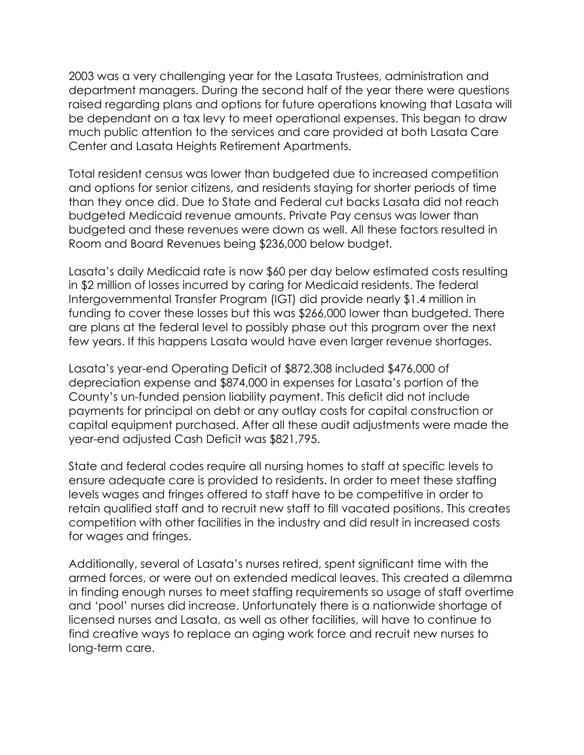2003 was a very challenging year for the Lasata Trustees, administration and department managers. During the second half of the year there were questions raised regarding plans and options for future operations knowing that Lasata will be dependant on a tax levy to meet operational expenses. This began to draw much public attention to the services and care provided at both Lasata Care Center and Lasata Heights Retirement Apartments.

Total resident census was lower than budgeted due to increased competition and options for senior citizens, and residents staying for shorter periods of time than they once did. Due to State and Federal cut backs Lasata did not reach budgeted Medicaid revenue amounts. Private Pay census was lower than budgeted and these revenues were down as well. All these factors resulted in Room and Board Revenues being \$236,000 below budget.

Lasata's daily Medicaid rate is now \$60 per day below estimated costs resulting in \$2 million of losses incurred by caring for Medicaid residents. The federal Intergovernmental Transfer Program (IGT) did provide nearly \$1.4 million in funding to cover these losses but this was \$266,000 lower than budgeted. There are plans at the federal level to possibly phase out this program over the next few years. If this happens Lasata would have even larger revenue shortages.

Lasata's year-end Operating Deficit of \$872,308 included \$476,000 of depreciation expense and \$874,000 in expenses for Lasata's portion of the County's un-funded pension liability payment. This deficit did not include payments for principal on debt or any outlay costs for capital construction or capital equipment purchased. After all these audit adjustments were made the year-end adjusted Cash Deficit was \$821,795.

State and federal codes require all nursing homes to staff at specific levels to ensure adequate care is provided to residents. In order to meet these staffing levels wages and fringes offered to staff have to be competitive in order to retain qualified staff and to recruit new staff to fill vacated positions. This creates competition with other facilities in the industry and did result in increased costs for wages and fringes.

Additionally, several of Lasata's nurses retired, spent significant time with the armed forces, or were out on extended medical leaves. This created a dilemma in finding enough nurses to meet staffing requirements so usage of staff overtime and 'pool' nurses did increase. Unfortunately there is a nationwide shortage of licensed nurses and Lasata, as well as other facilities, will have to continue to find creative ways to replace an aging work force and recruit new nurses to long-term care.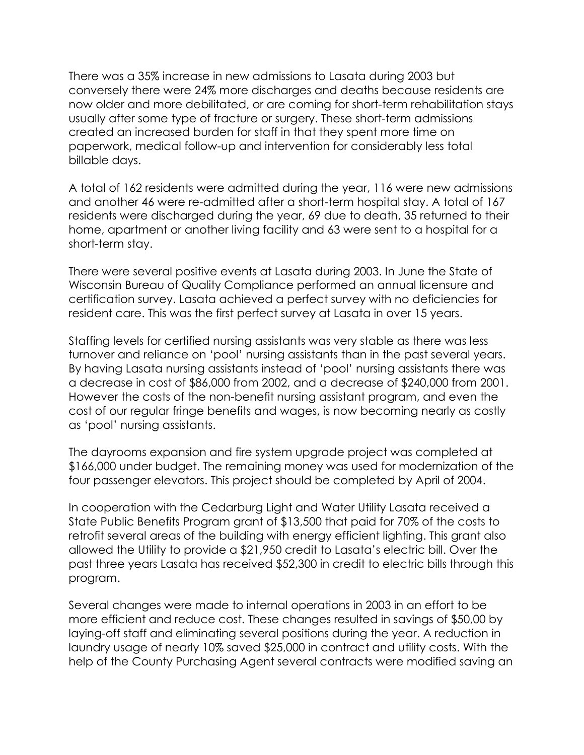There was a 35% increase in new admissions to Lasata during 2003 but conversely there were 24% more discharges and deaths because residents are now older and more debilitated, or are coming for short-term rehabilitation stays usually after some type of fracture or surgery. These short-term admissions created an increased burden for staff in that they spent more time on paperwork, medical follow-up and intervention for considerably less total billable days.

A total of 162 residents were admitted during the year, 116 were new admissions and another 46 were re-admitted after a short-term hospital stay. A total of 167 residents were discharged during the year, 69 due to death, 35 returned to their home, apartment or another living facility and 63 were sent to a hospital for a short-term stay.

There were several positive events at Lasata during 2003. In June the State of Wisconsin Bureau of Quality Compliance performed an annual licensure and certification survey. Lasata achieved a perfect survey with no deficiencies for resident care. This was the first perfect survey at Lasata in over 15 years.

Staffing levels for certified nursing assistants was very stable as there was less turnover and reliance on 'pool' nursing assistants than in the past several years. By having Lasata nursing assistants instead of 'pool' nursing assistants there was a decrease in cost of \$86,000 from 2002, and a decrease of \$240,000 from 2001. However the costs of the non-benefit nursing assistant program, and even the cost of our regular fringe benefits and wages, is now becoming nearly as costly as 'pool' nursing assistants.

The dayrooms expansion and fire system upgrade project was completed at \$166,000 under budget. The remaining money was used for modernization of the four passenger elevators. This project should be completed by April of 2004.

In cooperation with the Cedarburg Light and Water Utility Lasata received a State Public Benefits Program grant of \$13,500 that paid for 70% of the costs to retrofit several areas of the building with energy efficient lighting. This grant also allowed the Utility to provide a \$21,950 credit to Lasata's electric bill. Over the past three years Lasata has received \$52,300 in credit to electric bills through this program.

Several changes were made to internal operations in 2003 in an effort to be more efficient and reduce cost. These changes resulted in savings of \$50,00 by laying-off staff and eliminating several positions during the year. A reduction in laundry usage of nearly 10% saved \$25,000 in contract and utility costs. With the help of the County Purchasing Agent several contracts were modified saving an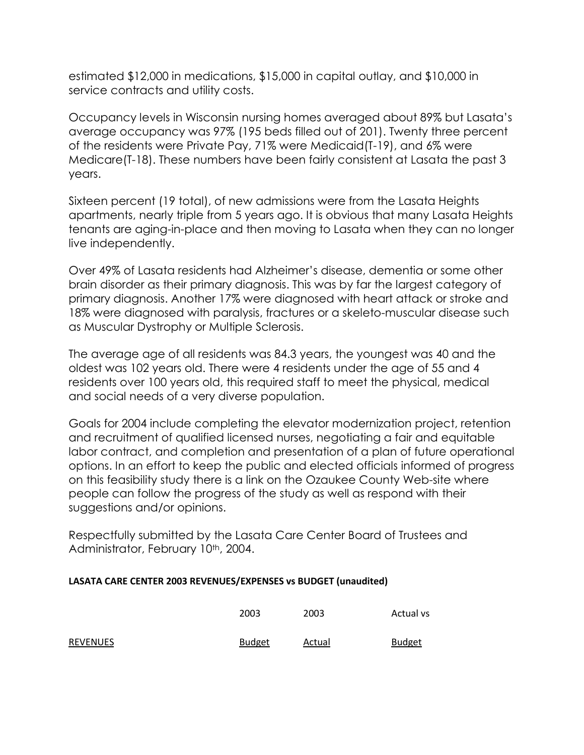estimated \$12,000 in medications, \$15,000 in capital outlay, and \$10,000 in service contracts and utility costs.

Occupancy levels in Wisconsin nursing homes averaged about 89% but Lasata's average occupancy was 97% (195 beds filled out of 201). Twenty three percent of the residents were Private Pay, 71% were Medicaid(T-19), and 6% were Medicare(T-18). These numbers have been fairly consistent at Lasata the past 3 years.

Sixteen percent (19 total), of new admissions were from the Lasata Heights apartments, nearly triple from 5 years ago. It is obvious that many Lasata Heights tenants are aging-in-place and then moving to Lasata when they can no longer live independently.

Over 49% of Lasata residents had Alzheimer's disease, dementia or some other brain disorder as their primary diagnosis. This was by far the largest category of primary diagnosis. Another 17% were diagnosed with heart attack or stroke and 18% were diagnosed with paralysis, fractures or a skeleto-muscular disease such as Muscular Dystrophy or Multiple Sclerosis.

The average age of all residents was 84.3 years, the youngest was 40 and the oldest was 102 years old. There were 4 residents under the age of 55 and 4 residents over 100 years old, this required staff to meet the physical, medical and social needs of a very diverse population.

Goals for 2004 include completing the elevator modernization project, retention and recruitment of qualified licensed nurses, negotiating a fair and equitable labor contract, and completion and presentation of a plan of future operational options. In an effort to keep the public and elected officials informed of progress on this feasibility study there is a link on the Ozaukee County Web-site where people can follow the progress of the study as well as respond with their suggestions and/or opinions.

Respectfully submitted by the Lasata Care Center Board of Trustees and Administrator, February 10<sup>th</sup>, 2004.

| LASATA CARE CENTER 2003 REVENUES/EXPENSES vs BUDGET (unaudited) |  |  |
|-----------------------------------------------------------------|--|--|
|-----------------------------------------------------------------|--|--|

REVENUES

| 2003          | 2003   | Actual vs     |
|---------------|--------|---------------|
| <b>Budget</b> | Actual | <b>Budget</b> |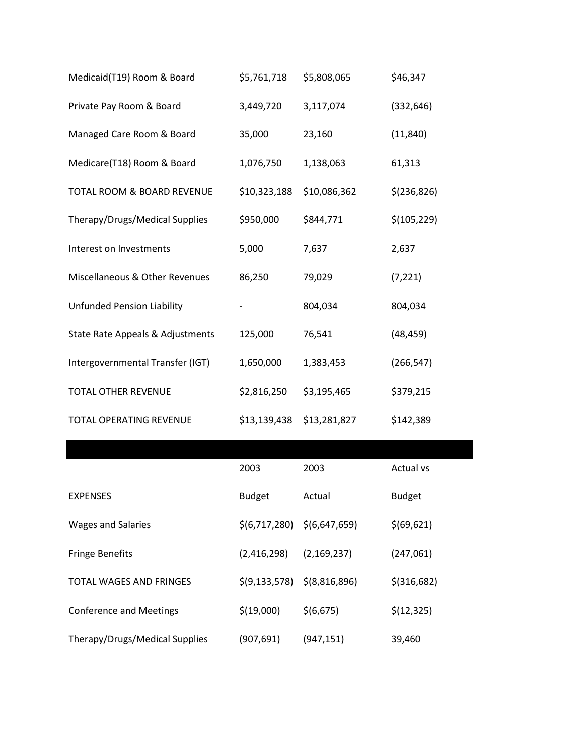| Medicaid(T19) Room & Board        | \$5,761,718   | \$5,808,065   | \$46,347      |
|-----------------------------------|---------------|---------------|---------------|
| Private Pay Room & Board          | 3,449,720     | 3,117,074     | (332, 646)    |
| Managed Care Room & Board         | 35,000        | 23,160        | (11, 840)     |
| Medicare(T18) Room & Board        | 1,076,750     | 1,138,063     | 61,313        |
| TOTAL ROOM & BOARD REVENUE        | \$10,323,188  | \$10,086,362  | \$(236, 826)  |
| Therapy/Drugs/Medical Supplies    | \$950,000     | \$844,771     | \$(105, 229)  |
| Interest on Investments           | 5,000         | 7,637         | 2,637         |
| Miscellaneous & Other Revenues    | 86,250        | 79,029        | (7, 221)      |
| <b>Unfunded Pension Liability</b> |               | 804,034       | 804,034       |
| State Rate Appeals & Adjustments  | 125,000       | 76,541        | (48, 459)     |
| Intergovernmental Transfer (IGT)  | 1,650,000     | 1,383,453     | (266, 547)    |
| <b>TOTAL OTHER REVENUE</b>        | \$2,816,250   | \$3,195,465   | \$379,215     |
| TOTAL OPERATING REVENUE           | \$13,139,438  | \$13,281,827  | \$142,389     |
|                                   |               |               |               |
|                                   | 2003          | 2003          | Actual vs     |
| <b>EXPENSES</b>                   | <b>Budget</b> | <b>Actual</b> | <b>Budget</b> |
| <b>Wages and Salaries</b>         | \$(6,717,280) | \$(6,647,659) | \$(69, 621)   |

| <b>EXPENSES</b>                | <b>Budget</b>                         | Actual        | <b>Budget</b> |
|--------------------------------|---------------------------------------|---------------|---------------|
| <b>Wages and Salaries</b>      | $\zeta(6,717,280)$ $\zeta(6,647,659)$ |               | \$ (69, 621)  |
| <b>Fringe Benefits</b>         | (2,416,298)                           | (2, 169, 237) | (247,061)     |
| TOTAL WAGES AND FRINGES        | $\zeta(9,133,578)$ $\zeta(8,816,896)$ |               | $$$ (316,682) |
| <b>Conference and Meetings</b> | \$(19,000)                            | \$(6,675)     | \$(12, 325)   |
| Therapy/Drugs/Medical Supplies | (907,691)                             | (947, 151)    | 39,460        |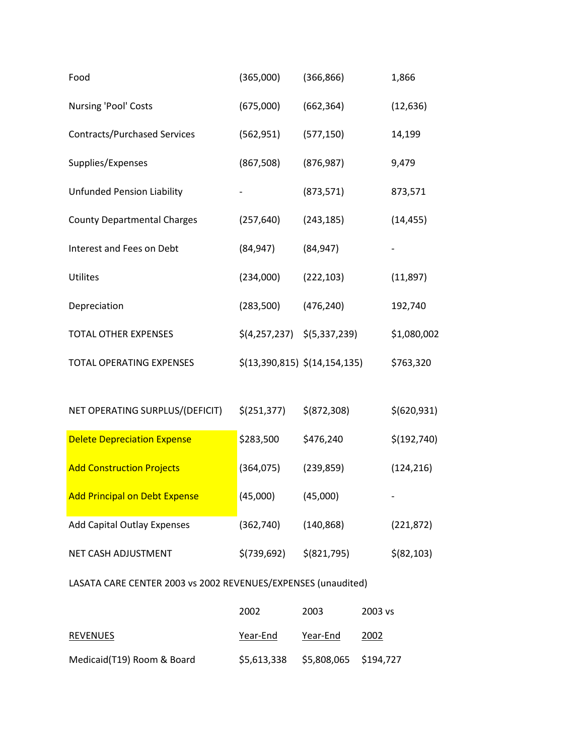| Food                                | (365,000)                                         | (366, 866)                                | 1,866       |
|-------------------------------------|---------------------------------------------------|-------------------------------------------|-------------|
| Nursing 'Pool' Costs                | (675,000)                                         | (662, 364)                                | (12, 636)   |
| <b>Contracts/Purchased Services</b> | (562, 951)                                        | (577, 150)                                | 14,199      |
| Supplies/Expenses                   | (867, 508)                                        | (876, 987)                                | 9,479       |
| <b>Unfunded Pension Liability</b>   |                                                   | (873, 571)                                | 873,571     |
| <b>County Departmental Charges</b>  | (257, 640)                                        | (243, 185)                                | (14, 455)   |
| Interest and Fees on Debt           | (84, 947)                                         | (84, 947)                                 |             |
| Utilites                            | (234,000)                                         | (222, 103)                                | (11,897)    |
| Depreciation                        | (283,500)                                         | (476, 240)                                | 192,740     |
| <b>TOTAL OTHER EXPENSES</b>         | $\frac{1}{2}(4,257,237)$ $\frac{1}{2}(5,337,239)$ |                                           | \$1,080,002 |
| <b>TOTAL OPERATING EXPENSES</b>     |                                                   | $\frac{\xi(13,390,815)}{\xi(14,154,135)}$ | \$763,320   |

| NET OPERATING SURPLUS/(DEFICIT)      | \$(251, 377) | \$ (872, 308) | \$ (620, 931) |
|--------------------------------------|--------------|---------------|---------------|
| <b>Delete Depreciation Expense</b>   | \$283,500    | \$476,240     | \$(192, 740)  |
| <b>Add Construction Projects</b>     | (364,075)    | (239, 859)    | (124, 216)    |
| <b>Add Principal on Debt Expense</b> | (45,000)     | (45,000)      | -             |
| <b>Add Capital Outlay Expenses</b>   | (362,740)    | (140, 868)    | (221, 872)    |
| NET CASH ADJUSTMENT                  | \$(739, 692) | $$$ (821,795) | \$ (82, 103)  |

## LASATA CARE CENTER 2003 vs 2002 REVENUES/EXPENSES (unaudited)

|                            | 2002        | 2003                  | 2003 vs |
|----------------------------|-------------|-----------------------|---------|
| REVENUES                   | Year-End    | Year-End              | 2002    |
| Medicaid(T19) Room & Board | \$5,613,338 | \$5,808,065 \$194,727 |         |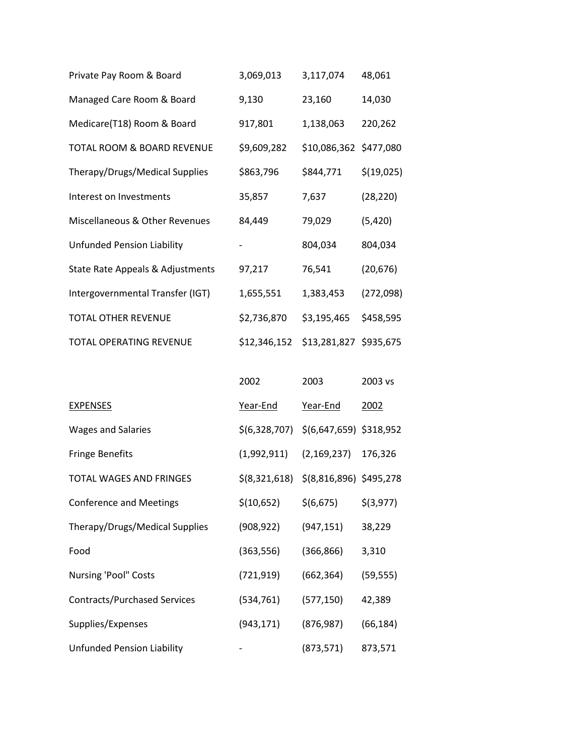| Private Pay Room & Board              | 3,069,013                           | 3,117,074              | 48,061     |
|---------------------------------------|-------------------------------------|------------------------|------------|
| Managed Care Room & Board             | 9,130                               | 23,160                 | 14,030     |
| Medicare(T18) Room & Board            | 917,801                             | 1,138,063              | 220,262    |
| <b>TOTAL ROOM &amp; BOARD REVENUE</b> | \$9,609,282                         | \$10,086,362 \$477,080 |            |
| Therapy/Drugs/Medical Supplies        | \$863,796                           | \$844,771              | \$(19,025) |
| Interest on Investments               | 35,857                              | 7,637                  | (28, 220)  |
| Miscellaneous & Other Revenues        | 84,449                              | 79,029                 | (5,420)    |
| <b>Unfunded Pension Liability</b>     |                                     | 804,034                | 804,034    |
| State Rate Appeals & Adjustments      | 97,217                              | 76,541                 | (20, 676)  |
| Intergovernmental Transfer (IGT)      | 1,655,551                           | 1,383,453              | (272,098)  |
| <b>TOTAL OTHER REVENUE</b>            | \$2,736,870                         | \$3,195,465            | \$458,595  |
| <b>TOTAL OPERATING REVENUE</b>        | \$12,346,152 \$13,281,827 \$935,675 |                        |            |

|                                     | 2002           | 2003                      | 2003 vs     |
|-------------------------------------|----------------|---------------------------|-------------|
| <b>EXPENSES</b>                     | Year-End       | Year-End                  | 2002        |
| <b>Wages and Salaries</b>           | \$(6,328,707)  | \$(6,647,659) \$318,952   |             |
| Fringe Benefits                     | (1,992,911)    | (2, 169, 237)             | 176,326     |
| TOTAL WAGES AND FRINGES             | \$ (8,321,618) | $$$ (8,816,896) \$495,278 |             |
| <b>Conference and Meetings</b>      | \$(10,652)     | \$(6,675)                 | $$$ (3,977) |
| Therapy/Drugs/Medical Supplies      | (908, 922)     | (947, 151)                | 38,229      |
| Food                                | (363, 556)     | (366, 866)                | 3,310       |
| Nursing 'Pool" Costs                | (721, 919)     | (662, 364)                | (59, 555)   |
| <b>Contracts/Purchased Services</b> | (534, 761)     | (577, 150)                | 42,389      |
| Supplies/Expenses                   | (943, 171)     | (876, 987)                | (66, 184)   |
| <b>Unfunded Pension Liability</b>   |                | (873, 571)                | 873,571     |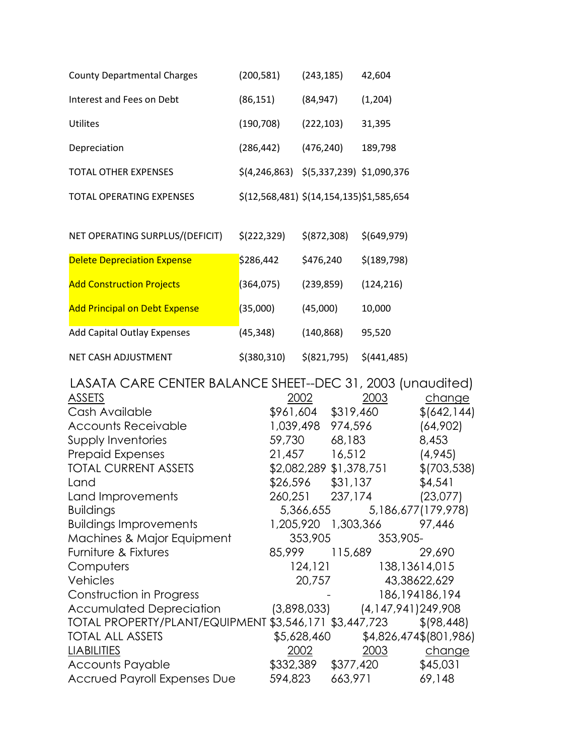| <b>County Departmental Charges</b> | (200, 581)                                           | (243, 185)    | 42,604       |
|------------------------------------|------------------------------------------------------|---------------|--------------|
| Interest and Fees on Debt          | (86, 151)                                            | (84, 947)     | (1,204)      |
| Utilites                           | (190, 708)                                           | (222, 103)    | 31,395       |
| Depreciation                       | (286, 442)                                           | (476, 240)    | 189,798      |
| <b>TOTAL OTHER EXPENSES</b>        | $\frac{\xi(4,246,863)}{\xi(5,337,239)}$ \$1,090,376  |               |              |
| <b>TOTAL OPERATING EXPENSES</b>    | $\frac{\xi(12,568,481)}{\xi(14,154,135)}\$ 1,585,654 |               |              |
|                                    |                                                      |               |              |
| NET OPERATING SURPLUS/(DEFICIT)    | \$(222, 329)                                         | \$ (872, 308) | \$(649, 979) |

| <b>Delete Depreciation Expense</b>   | \$286,442     | \$476,240    | \$(189, 798) |
|--------------------------------------|---------------|--------------|--------------|
| <b>Add Construction Projects</b>     | (364, 075)    | (239, 859)   | (124, 216)   |
| <b>Add Principal on Debt Expense</b> | (35,000)      | (45,000)     | 10,000       |
| <b>Add Capital Outlay Expenses</b>   | (45, 348)     | (140, 868)   | 95,520       |
| NET CASH ADJUSTMENT                  | $$$ (380,310) | \$ (821,795) | \$(441, 485) |

| LASATA CARE CENTER BALANCE SHEET--DEC 31, 2003 (unaudited) |               |                         |                          |
|------------------------------------------------------------|---------------|-------------------------|--------------------------|
| ASSETS                                                     | 2002          | 2003                    | change                   |
| Cash Available                                             | \$961,604     | \$319,460               | \$ (642, 144)            |
| <b>Accounts Receivable</b>                                 | 1,039,498     | 974,596                 | (64,902)                 |
| Supply Inventories                                         | 59,730        | 68,183                  | 8,453                    |
| <b>Prepaid Expenses</b>                                    | 21,457 16,512 |                         | (4,945)                  |
| <b>TOTAL CURRENT ASSETS</b>                                |               | \$2,082,289 \$1,378,751 | \$(703, 538)             |
| Land                                                       | \$26,596      | \$31,137                | \$4,54]                  |
| Land Improvements                                          | 260,251       | 237,174                 | (23,077)                 |
| <b>Buildings</b>                                           | 5,366,655     |                         | 5,186,677(179,978)       |
| <b>Buildings Improvements</b>                              |               |                         | 97,446                   |
| Machines & Major Equipment                                 | 353,905       | 353,905-                |                          |
| Furniture & Fixtures                                       | 85,999        | 115,689                 | 29,690                   |
| Computers                                                  |               | 124, 121                | 138,13614,015            |
| Vehicles                                                   | 20,757        |                         | 43,38622,629             |
| Construction in Progress                                   |               |                         | 186, 194186, 194         |
| Accumulated Depreciation                                   | (3,898,033)   |                         | $(4, 147, 941)$ 249, 908 |
| TOTAL PROPERTY/PLANT/EQUIPMENT \$3,546,171 \$3,447,723     |               |                         | \$ (98, 448)             |
| <b>TOTAL ALL ASSETS</b>                                    | \$5,628,460   |                         | \$4,826,474\$(801,986)   |
| <b>LIABILITIES</b>                                         | 2002          | 2003                    | change                   |
| <b>Accounts Payable</b>                                    | \$332,389     | \$377,420               | \$45,031                 |
| <b>Accrued Payroll Expenses Due</b>                        | 594,823       | 663,971                 | 69,148                   |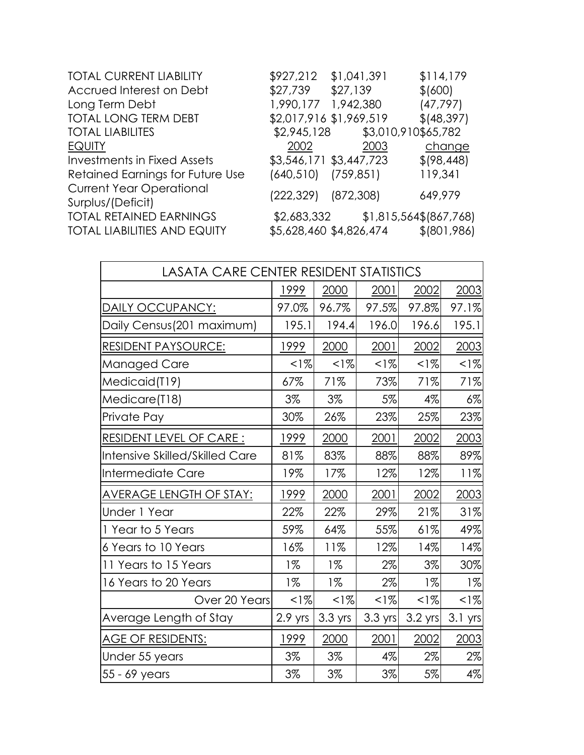| <b>TOTAL CURRENT LIABILITY</b>                       | \$927,212                 | \$1,041,391             | \$114,179              |
|------------------------------------------------------|---------------------------|-------------------------|------------------------|
| Accrued Interest on Debt                             | \$27,739                  | \$27,139                | \$ (600)               |
| Long Term Debt                                       | 1,990,177                 | 1,942,380               | (47, 797)              |
| <b>TOTAL LONG TERM DEBT</b>                          |                           | \$2,017,916 \$1,969,519 | \$ (48, 397)           |
| <b>TOTAL LIABILITES</b>                              | \$2,945,128               | \$3,010,910\$65,782     |                        |
| <b>EQUITY</b>                                        | 2002                      | 2003                    | change                 |
| <b>Investments in Fixed Assets</b>                   |                           | \$3,546,171 \$3,447,723 | \$ (98, 448)           |
| Retained Earnings for Future Use                     | $(640, 510)$ $(759, 851)$ |                         | 119,341                |
| <b>Current Year Operational</b><br>Surplus/(Deficit) | (222,329)                 | (872, 308)              | 649,979                |
| <b>TOTAL RETAINED EARNINGS</b>                       | \$2,683,332               |                         | \$1,815,564\$(867,768) |
| <b>TOTAL LIABILITIES AND EQUITY</b>                  |                           | \$5,628,460 \$4,826,474 | \$ (801, 986)          |
|                                                      |                           |                         |                        |

| <b>LASATA CARE CENTER RESIDENT STATISTICS</b> |         |           |                   |           |         |
|-----------------------------------------------|---------|-----------|-------------------|-----------|---------|
|                                               | 1999    | 2000      | 2001              | 2002      | 2003    |
| <u>DAILY OCCUPANCY:</u>                       | 97.0%   | 96.7%     | 97.5%             | 97.8%     | 97.1%   |
| Daily Census(201 maximum)                     | 195.1   | 194.4     | 196.0             | 196.6     | 195.1   |
| <u>RESIDENT PAYSOURCE:</u>                    | 1999    | 2000      | 2001              | 2002      | 2003    |
| Managed Care                                  | $< 1\%$ | $1\%$     | $< 1\%$           | $1\%$     | $1\%$   |
| Medicaid(T19)                                 | 67%     | 71%       | 73%               | 71%       | 71%     |
| Medicare(T18)                                 | 3%      | 3%        | 5%                | 4%        | $6\%$   |
| Private Pay                                   | 30%     | 26%       | 23%               | 25%       | 23%     |
| <b>RESIDENT LEVEL OF CARE:</b>                | 1999    | 2000      | 2001              | 2002      | 2003    |
| Intensive Skilled/Skilled Care                | 81%     | 83%       | 88%               | 88%       | 89%     |
| Intermediate Care                             | 19%     | 17%       | 12%               | 12%       | 11%     |
| <u>AVERAGE LENGTH OF STAY:</u>                | 1999    | 2000      | 2001              | 2002      | 2003    |
| Under 1 Year                                  | 22%     | 22%       | 29%               | 21%       | 31%     |
| 1 Year to 5 Years                             | 59%     | 64%       | 55%               | 61%       | 49%     |
| 6 Years to 10 Years                           | 16%     | 11%       | 12%               | 14%       | 14%     |
| 11 Years to 15 Years                          | $1\%$   | $1\%$     | 2%                | 3%        | 30%     |
| 16 Years to 20 Years                          | $1\%$   | $1\%$     | $2\%$             | $1\%$     | $1\%$   |
| Over 20 Years                                 | $< 1\%$ | $1\%$     | $< 1\%$           | $< 1\%$   | $< 1\%$ |
| Average Length of Stay                        | 2.9 yrs | $3.3$ yrs | $3.3 \text{ yrs}$ | $3.2$ yrs | 3.1 yrs |
| <u>AGE OF RESIDENTS:</u>                      | 1999    | 2000      | 2001              | 2002      | 2003    |
| Under 55 years                                | 3%      | 3%        | 4%                | 2%        | $2\%$   |
| 55 - 69 years                                 | 3%      | 3%        | $3\%$             | 5%        | $4\%$   |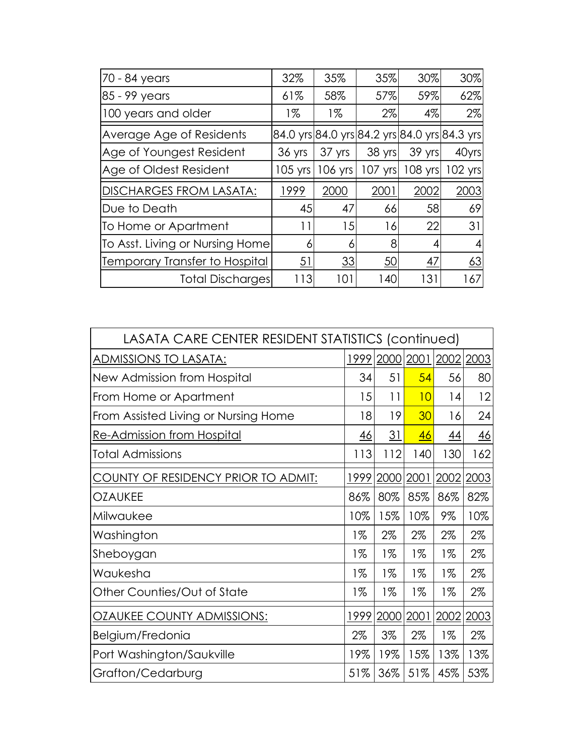| 70 - 84 years                   | 32%       | 35%       | 35%     | 30%       | 30%                                          |
|---------------------------------|-----------|-----------|---------|-----------|----------------------------------------------|
| 85 - 99 years                   | 61%       | 58%       | 57%     | 59%       | 62%                                          |
| 100 years and older             | 1%        | $1\%$     | 2%      | $4\%$     | $2\%$                                        |
| Average Age of Residents        |           |           |         |           | 84.0 yrs 84.0 yrs 84.2 yrs 84.0 yrs 84.3 yrs |
| Age of Youngest Resident        | 36 yrs    | 37 yrs    | 38 yrs  | 39 yrs    | 40yrs                                        |
| Age of Oldest Resident          | $105$ yrs | $106$ yrs | 107 yrs | $108$ yrs | 102 yrsl                                     |
| <b>DISCHARGES FROM LASATA:</b>  | 1999      | 2000      | 2001    | 2002      | 2003                                         |
| Due to Death                    | 45        | 47        | 66      | 58        | 69                                           |
| To Home or Apartment            | 11        | 15        | 16      | 22        | 31                                           |
| To Asst. Living or Nursing Home | 6         | 6         | 8       | 4         | 4                                            |
| Temporary Transfer to Hospital  | 51        | 33        | 50      | 47        | 63                                           |
| <b>Total Discharges</b>         | 113       | 101       | 140     | 131       | 167                                          |

| LASATA CARE CENTER RESIDENT STATISTICS (continued) |           |           |           |           |           |
|----------------------------------------------------|-----------|-----------|-----------|-----------|-----------|
| ADMISSIONS TO LASATA:                              | 1999      | 2000      | 2001      | 2002      | 2003      |
| New Admission from Hospital                        | 34        | 51        | 54        | 56        | 80        |
| From Home or Apartment                             | 15        | 11        | 10        | 14        | 12        |
| From Assisted Living or Nursing Home               | 18        | 19        | 30        | 16        | 24        |
| <u>Re-Admission from Hospital</u>                  | <u>46</u> | <u>31</u> | <u>46</u> | <u>44</u> | <u>46</u> |
| <b>Total Admissions</b>                            | 113       | 112       | 140       | 130       | 162       |
| COUNTY OF RESIDENCY PRIOR TO ADMIT:                | 1999      | 2000      | 2001      | 2002      | 2003      |
| <b>OZAUKEE</b>                                     | 86%       | 80%       | 85%       | 86%       | 82%       |
| Milwaukee                                          | 10%       | 15%       | 10%       | 9%        | 10%       |
| Washington                                         | $1\%$     | 2%        | $2\%$     | 2%        | 2%        |
| Sheboygan                                          | $1\%$     | $1\%$     | 1%        | $1\%$     | 2%        |
| Waukesha                                           | 1%        | 1%        | 1%        | 1%        | 2%        |
| Other Counties/Out of State                        | $1\%$     | $1\%$     | $1\%$     | $1\%$     | 2%        |
| <b>OZAUKEE COUNTY ADMISSIONS:</b>                  | 1999      | 2000      | 2001      | 2002      | 2003      |
| Belgium/Fredonia                                   | $2\%$     | 3%        | $2\%$     | $1\%$     | $2\%$     |
| Port Washington/Saukville                          | 19%       | 19%       | 15%       | 13%       | 13%       |
| Grafton/Cedarburg                                  | 51%       | 36%       | 51%       | 45%       | 53%       |